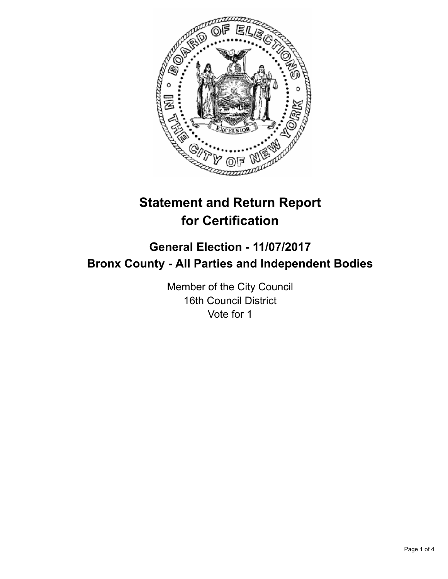

# **Statement and Return Report for Certification**

## **General Election - 11/07/2017 Bronx County - All Parties and Independent Bodies**

Member of the City Council 16th Council District Vote for 1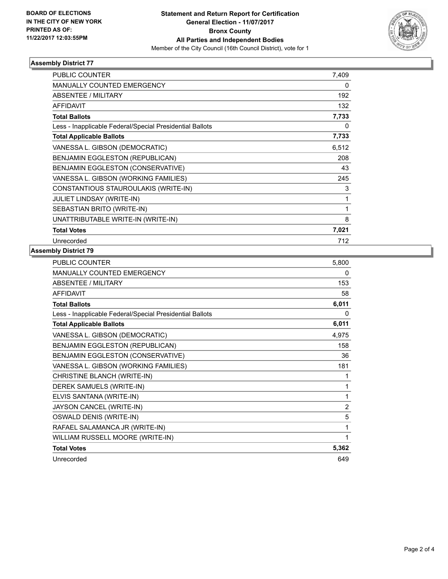

## **Assembly District 77**

| <b>PUBLIC COUNTER</b>                                    | 7,409 |
|----------------------------------------------------------|-------|
| <b>MANUALLY COUNTED EMERGENCY</b>                        | 0     |
| ABSENTEE / MILITARY                                      | 192   |
| <b>AFFIDAVIT</b>                                         | 132   |
| <b>Total Ballots</b>                                     | 7,733 |
| Less - Inapplicable Federal/Special Presidential Ballots | 0     |
| <b>Total Applicable Ballots</b>                          | 7,733 |
| VANESSA L. GIBSON (DEMOCRATIC)                           | 6,512 |
| BENJAMIN EGGLESTON (REPUBLICAN)                          | 208   |
| BENJAMIN EGGLESTON (CONSERVATIVE)                        | 43    |
| VANESSA L. GIBSON (WORKING FAMILIES)                     | 245   |
| CONSTANTIOUS STAUROULAKIS (WRITE-IN)                     | 3     |
| <b>JULIET LINDSAY (WRITE-IN)</b>                         | 1     |
| SEBASTIAN BRITO (WRITE-IN)                               | 1     |
| UNATTRIBUTABLE WRITE-IN (WRITE-IN)                       | 8     |
| <b>Total Votes</b>                                       | 7,021 |
| Unrecorded                                               | 712   |

#### **Assembly District 79**

| <b>PUBLIC COUNTER</b>                                    | 5,800          |
|----------------------------------------------------------|----------------|
| MANUALLY COUNTED EMERGENCY                               | 0              |
| <b>ABSENTEE / MILITARY</b>                               | 153            |
| <b>AFFIDAVIT</b>                                         | 58             |
| <b>Total Ballots</b>                                     | 6,011          |
| Less - Inapplicable Federal/Special Presidential Ballots | 0              |
| <b>Total Applicable Ballots</b>                          | 6,011          |
| VANESSA L. GIBSON (DEMOCRATIC)                           | 4,975          |
| BENJAMIN EGGLESTON (REPUBLICAN)                          | 158            |
| BENJAMIN EGGLESTON (CONSERVATIVE)                        | 36             |
| VANESSA L. GIBSON (WORKING FAMILIES)                     | 181            |
| CHRISTINE BLANCH (WRITE-IN)                              | 1              |
| DEREK SAMUELS (WRITE-IN)                                 | 1              |
| ELVIS SANTANA (WRITE-IN)                                 | 1              |
| JAYSON CANCEL (WRITE-IN)                                 | $\overline{2}$ |
| OSWALD DENIS (WRITE-IN)                                  | 5              |
| RAFAEL SALAMANCA JR (WRITE-IN)                           | 1              |
| WILLIAM RUSSELL MOORE (WRITE-IN)                         | 1              |
| <b>Total Votes</b>                                       | 5,362          |
| Unrecorded                                               | 649            |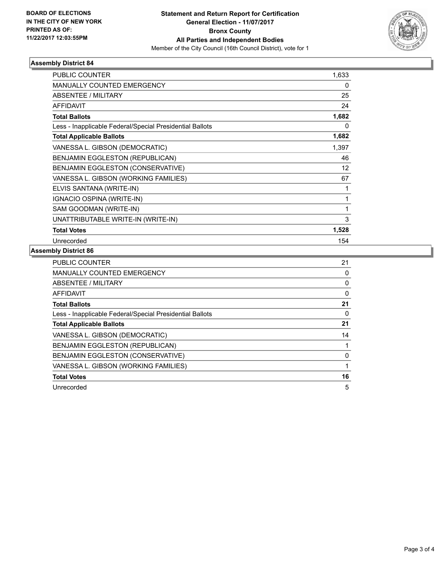

## **Assembly District 84**

| <b>PUBLIC COUNTER</b>                                    | 1,633 |
|----------------------------------------------------------|-------|
| <b>MANUALLY COUNTED EMERGENCY</b>                        | 0     |
| ABSENTEE / MILITARY                                      | 25    |
| <b>AFFIDAVIT</b>                                         | 24    |
| <b>Total Ballots</b>                                     | 1,682 |
| Less - Inapplicable Federal/Special Presidential Ballots | 0     |
| <b>Total Applicable Ballots</b>                          | 1,682 |
| VANESSA L. GIBSON (DEMOCRATIC)                           | 1,397 |
| BENJAMIN EGGLESTON (REPUBLICAN)                          | 46    |
| BENJAMIN EGGLESTON (CONSERVATIVE)                        | 12    |
| VANESSA L. GIBSON (WORKING FAMILIES)                     | 67    |
| ELVIS SANTANA (WRITE-IN)                                 | 1     |
| IGNACIO OSPINA (WRITE-IN)                                | 1     |
| SAM GOODMAN (WRITE-IN)                                   | 1     |
| UNATTRIBUTABLE WRITE-IN (WRITE-IN)                       | 3     |
| <b>Total Votes</b>                                       | 1,528 |
| Unrecorded                                               | 154   |

## **Assembly District 86**

| <b>PUBLIC COUNTER</b>                                    | 21 |
|----------------------------------------------------------|----|
| <b>MANUALLY COUNTED EMERGENCY</b>                        | 0  |
| ABSENTEE / MILITARY                                      | 0  |
| AFFIDAVIT                                                | 0  |
| <b>Total Ballots</b>                                     | 21 |
| Less - Inapplicable Federal/Special Presidential Ballots | 0  |
| <b>Total Applicable Ballots</b>                          | 21 |
| VANESSA L. GIBSON (DEMOCRATIC)                           | 14 |
| BENJAMIN EGGLESTON (REPUBLICAN)                          |    |
| BENJAMIN EGGLESTON (CONSERVATIVE)                        | 0  |
| VANESSA L. GIBSON (WORKING FAMILIES)                     |    |
| <b>Total Votes</b>                                       | 16 |
| Unrecorded                                               | 5  |